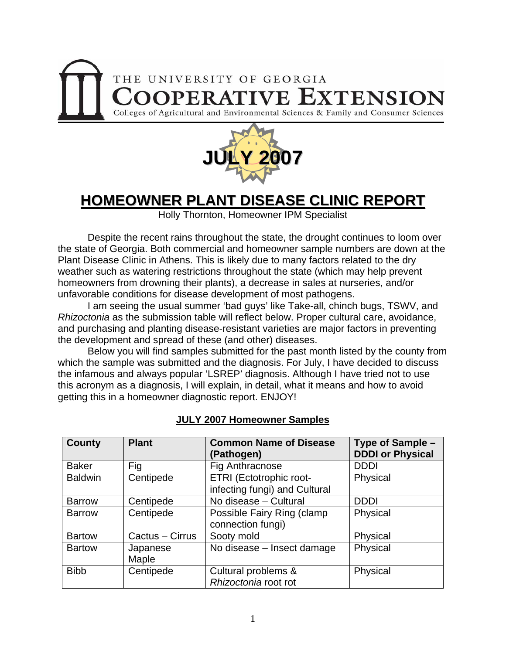



# **HOMEOWNER PLANT DISEASE CLINIC REPORT**

Holly Thornton, Homeowner IPM Specialist

 Despite the recent rains throughout the state, the drought continues to loom over the state of Georgia. Both commercial and homeowner sample numbers are down at the Plant Disease Clinic in Athens. This is likely due to many factors related to the dry weather such as watering restrictions throughout the state (which may help prevent homeowners from drowning their plants), a decrease in sales at nurseries, and/or unfavorable conditions for disease development of most pathogens.

 I am seeing the usual summer 'bad guys' like Take-all, chinch bugs, TSWV, and *Rhizoctonia* as the submission table will reflect below. Proper cultural care, avoidance, and purchasing and planting disease-resistant varieties are major factors in preventing the development and spread of these (and other) diseases.

 Below you will find samples submitted for the past month listed by the county from which the sample was submitted and the diagnosis. For July, I have decided to discuss the infamous and always popular 'LSREP' diagnosis. Although I have tried not to use this acronym as a diagnosis, I will explain, in detail, what it means and how to avoid getting this in a homeowner diagnostic report. ENJOY!

| <b>County</b>  | <b>Plant</b>      | <b>Common Name of Disease</b><br>(Pathogen)              | Type of Sample -<br><b>DDDI or Physical</b> |
|----------------|-------------------|----------------------------------------------------------|---------------------------------------------|
| <b>Baker</b>   | Fig               | Fig Anthracnose                                          | <b>DDDI</b>                                 |
| <b>Baldwin</b> | Centipede         | ETRI (Ectotrophic root-<br>infecting fungi) and Cultural | Physical                                    |
| <b>Barrow</b>  | Centipede         | No disease - Cultural                                    | <b>DDDI</b>                                 |
| <b>Barrow</b>  | Centipede         | Possible Fairy Ring (clamp<br>connection fungi)          | Physical                                    |
| <b>Bartow</b>  | Cactus - Cirrus   | Sooty mold                                               | Physical                                    |
| <b>Bartow</b>  | Japanese<br>Maple | No disease - Insect damage                               | Physical                                    |
| <b>Bibb</b>    | Centipede         | Cultural problems &<br>Rhizoctonia root rot              | Physical                                    |

## **JULY 2007 Homeowner Samples**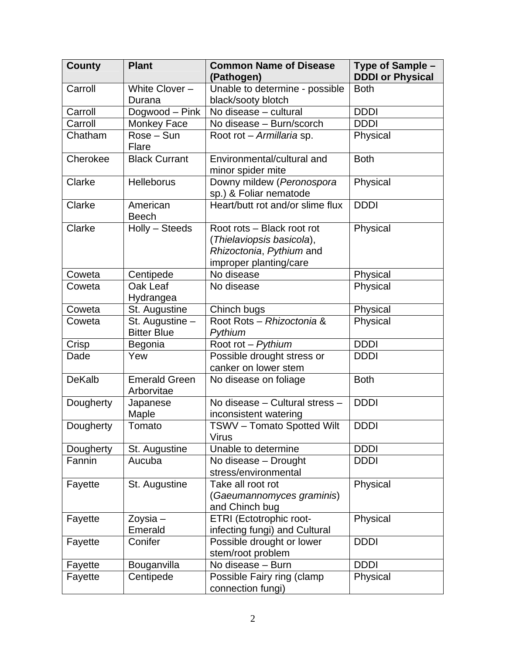| <b>County</b> | <b>Plant</b>                          | <b>Common Name of Disease</b>                                                                                 | Type of Sample -        |
|---------------|---------------------------------------|---------------------------------------------------------------------------------------------------------------|-------------------------|
|               |                                       | (Pathogen)                                                                                                    | <b>DDDI or Physical</b> |
| Carroll       | White Clover -                        | Unable to determine - possible                                                                                | <b>Both</b>             |
|               | Durana                                | black/sooty blotch                                                                                            |                         |
| Carroll       | Dogwood - Pink                        | No disease - cultural                                                                                         | <b>DDDI</b>             |
| Carroll       | Monkey Face                           | No disease - Burn/scorch                                                                                      | <b>DDDI</b>             |
| Chatham       | Rose - Sun<br>Flare                   | Root rot - Armillaria sp.                                                                                     | Physical                |
| Cherokee      | <b>Black Currant</b>                  | Environmental/cultural and<br>minor spider mite                                                               | <b>Both</b>             |
| Clarke        | <b>Helleborus</b>                     | Downy mildew (Peronospora<br>sp.) & Foliar nematode                                                           | Physical                |
| Clarke        | American<br><b>Beech</b>              | Heart/butt rot and/or slime flux                                                                              | <b>DDDI</b>             |
| Clarke        | Holly - Steeds                        | Root rots - Black root rot<br>(Thielaviopsis basicola),<br>Rhizoctonia, Pythium and<br>improper planting/care | Physical                |
| Coweta        | Centipede                             | No disease                                                                                                    | Physical                |
| Coweta        | Oak Leaf<br>Hydrangea                 | No disease                                                                                                    | Physical                |
| Coweta        | St. Augustine                         | Chinch bugs                                                                                                   | Physical                |
| Coweta        | St. Augustine -<br><b>Bitter Blue</b> | Root Rots - Rhizoctonia &<br>Pythium                                                                          | Physical                |
| Crisp         | Begonia                               | Root rot - Pythium                                                                                            | <b>DDDI</b>             |
| Dade          | Yew                                   | Possible drought stress or<br>canker on lower stem                                                            | <b>DDDI</b>             |
| <b>DeKalb</b> | <b>Emerald Green</b><br>Arborvitae    | No disease on foliage                                                                                         | <b>Both</b>             |
| Dougherty     | Japanese<br>Maple                     | No disease - Cultural stress -<br>inconsistent watering                                                       | <b>DDDI</b>             |
| Dougherty     | Tomato                                | <b>TSWV-Tomato Spotted Wilt</b><br><b>Virus</b>                                                               | <b>DDDI</b>             |
| Dougherty     | St. Augustine                         | Unable to determine                                                                                           | <b>DDDI</b>             |
| Fannin        | Aucuba                                | No disease - Drought<br>stress/environmental                                                                  | <b>DDDI</b>             |
| Fayette       | St. Augustine                         | Take all root rot<br>(Gaeumannomyces graminis)<br>and Chinch bug                                              | Physical                |
| Fayette       | Zoysia-<br>Emerald                    | ETRI (Ectotrophic root-<br>infecting fungi) and Cultural                                                      | Physical                |
| Fayette       | Conifer                               | Possible drought or lower<br>stem/root problem                                                                | <b>DDDI</b>             |
| Fayette       | Bouganvilla                           | No disease - Burn                                                                                             | <b>DDDI</b>             |
| Fayette       | Centipede                             | Possible Fairy ring (clamp<br>connection fungi)                                                               | Physical                |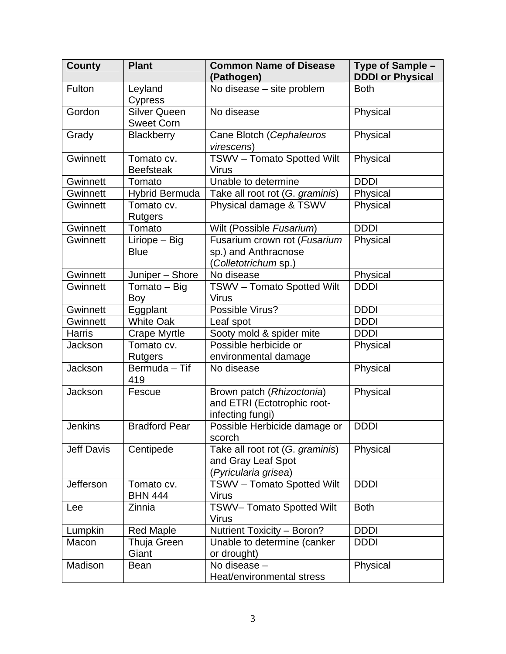| <b>County</b>     | <b>Plant</b>         | <b>Common Name of Disease</b><br>(Pathogen) | Type of Sample -<br><b>DDDI or Physical</b> |
|-------------------|----------------------|---------------------------------------------|---------------------------------------------|
| Fulton            | Leyland              | No disease - site problem                   | <b>Both</b>                                 |
|                   | <b>Cypress</b>       |                                             |                                             |
| Gordon            | <b>Silver Queen</b>  | No disease                                  | Physical                                    |
|                   | <b>Sweet Corn</b>    |                                             |                                             |
| Grady             | Blackberry           | Cane Blotch (Cephaleuros                    | Physical                                    |
|                   |                      | virescens)                                  |                                             |
| Gwinnett          | Tomato cv.           | <b>TSWV - Tomato Spotted Wilt</b>           | Physical                                    |
|                   | <b>Beefsteak</b>     | <b>Virus</b>                                |                                             |
| Gwinnett          | Tomato               | Unable to determine                         | <b>DDDI</b>                                 |
| Gwinnett          | Hybrid Bermuda       | Take all root rot (G. graminis)             | Physical                                    |
| Gwinnett          | Tomato cv.           | Physical damage & TSWV                      | Physical                                    |
|                   | <b>Rutgers</b>       |                                             |                                             |
| Gwinnett          | Tomato               | Wilt (Possible Fusarium)                    | <b>DDDI</b>                                 |
| Gwinnett          | Liriope - Big        | Fusarium crown rot (Fusarium                | Physical                                    |
|                   | <b>Blue</b>          | sp.) and Anthracnose                        |                                             |
|                   |                      | (Colletotrichum sp.)                        |                                             |
| Gwinnett          | Juniper - Shore      | No disease                                  | Physical                                    |
| Gwinnett          | Tomato - Big         | <b>TSWV - Tomato Spotted Wilt</b>           | <b>DDDI</b>                                 |
|                   | Boy                  | <b>Virus</b>                                |                                             |
| Gwinnett          | Eggplant             | Possible Virus?                             | <b>DDDI</b>                                 |
| Gwinnett          | <b>White Oak</b>     | Leaf spot                                   | <b>DDDI</b>                                 |
| <b>Harris</b>     | Crape Myrtle         | Sooty mold & spider mite                    | <b>DDDI</b>                                 |
| Jackson           | Tomato cv.           | Possible herbicide or                       | Physical                                    |
|                   | <b>Rutgers</b>       | environmental damage                        |                                             |
| Jackson           | Bermuda - Tif        | No disease                                  | Physical                                    |
|                   | 419                  |                                             |                                             |
| Jackson           | Fescue               | Brown patch (Rhizoctonia)                   | Physical                                    |
|                   |                      | and ETRI (Ectotrophic root-                 |                                             |
|                   |                      | infecting fungi)                            |                                             |
| <b>Jenkins</b>    | <b>Bradford Pear</b> | Possible Herbicide damage or                | <b>DDDI</b>                                 |
|                   |                      | scorch                                      |                                             |
| <b>Jeff Davis</b> | Centipede            | Take all root rot (G. graminis)             | Physical                                    |
|                   |                      | and Gray Leaf Spot                          |                                             |
|                   |                      | (Pyricularia grisea)                        |                                             |
| Jefferson         | Tomato cv.           | TSWV - Tomato Spotted Wilt                  | <b>DDDI</b>                                 |
|                   | <b>BHN 444</b>       | <b>Virus</b>                                |                                             |
| Lee               | Zinnia               | <b>TSWV- Tomato Spotted Wilt</b>            | <b>Both</b>                                 |
|                   |                      | <b>Virus</b>                                |                                             |
| Lumpkin           | <b>Red Maple</b>     | Nutrient Toxicity - Boron?                  | <b>DDDI</b>                                 |
| Macon             | Thuja Green          | Unable to determine (canker                 | <b>DDDI</b>                                 |
|                   | Giant                | or drought)                                 |                                             |
| Madison           | Bean                 | No disease -                                | Physical                                    |
|                   |                      | Heat/environmental stress                   |                                             |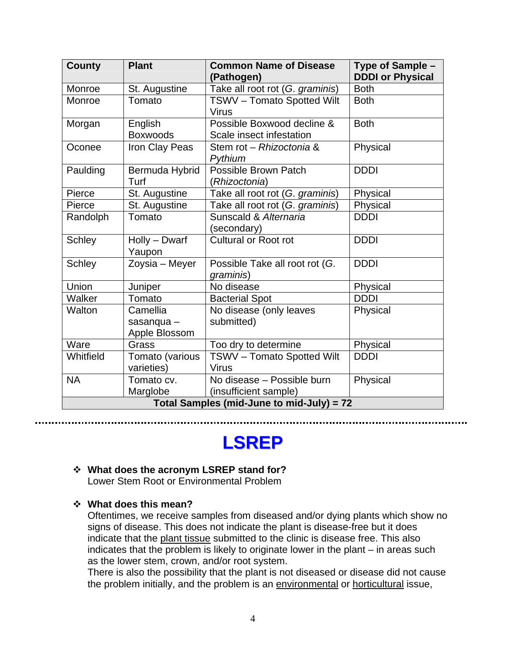| <b>County</b>                             | <b>Plant</b>                            | <b>Common Name of Disease</b><br>(Pathogen)            | Type of Sample -<br><b>DDDI or Physical</b> |  |  |
|-------------------------------------------|-----------------------------------------|--------------------------------------------------------|---------------------------------------------|--|--|
| Monroe                                    | St. Augustine                           | Take all root rot (G. graminis)                        | <b>Both</b>                                 |  |  |
| Monroe                                    | Tomato                                  | <b>TSWV - Tomato Spotted Wilt</b><br><b>Virus</b>      | <b>Both</b>                                 |  |  |
| Morgan                                    | English<br><b>Boxwoods</b>              | Possible Boxwood decline &<br>Scale insect infestation | <b>Both</b>                                 |  |  |
| Oconee                                    | Iron Clay Peas                          | Stem rot – Rhizoctonia &<br>Pythium                    | Physical                                    |  |  |
| Paulding                                  | Bermuda Hybrid<br>Turf                  | Possible Brown Patch<br>(Rhizoctonia)                  | <b>DDDI</b>                                 |  |  |
| Pierce                                    | St. Augustine                           | Take all root rot (G. graminis)                        | Physical                                    |  |  |
| Pierce                                    | St. Augustine                           | Take all root rot (G. graminis)                        | Physical                                    |  |  |
| Randolph                                  | Tomato                                  | Sunscald & Alternaria<br>(secondary)                   | <b>DDDI</b>                                 |  |  |
| <b>Schley</b>                             | Holly - Dwarf<br>Yaupon                 | <b>Cultural or Root rot</b>                            | <b>DDDI</b>                                 |  |  |
| <b>Schley</b>                             | Zoysia - Meyer                          | Possible Take all root rot (G.<br>graminis)            | <b>DDDI</b>                                 |  |  |
| Union                                     | Juniper                                 | No disease                                             | Physical                                    |  |  |
| Walker                                    | Tomato                                  | <b>Bacterial Spot</b>                                  | <b>DDDI</b>                                 |  |  |
| Walton                                    | Camellia<br>sasanqua -<br>Apple Blossom | No disease (only leaves<br>submitted)                  | Physical                                    |  |  |
| Ware                                      | Grass                                   | Too dry to determine                                   | Physical                                    |  |  |
| Whitfield                                 | Tomato (various<br>varieties)           | <b>TSWV - Tomato Spotted Wilt</b><br><b>Virus</b>      | <b>DDDI</b>                                 |  |  |
| <b>NA</b>                                 | Tomato cv.<br>Marglobe                  | No disease - Possible burn<br>(insufficient sample)    | Physical                                    |  |  |
| Total Samples (mid-June to mid-July) = 72 |                                         |                                                        |                                             |  |  |

# **LSREP**

# **What does the acronym LSREP stand for?**

Lower Stem Root or Environmental Problem

**What does this mean?** 

Oftentimes, we receive samples from diseased and/or dying plants which show no signs of disease. This does not indicate the plant is disease-free but it does indicate that the plant tissue submitted to the clinic is disease free. This also indicates that the problem is likely to originate lower in the plant – in areas such as the lower stem, crown, and/or root system.

There is also the possibility that the plant is not diseased or disease did not cause the problem initially, and the problem is an environmental or horticultural issue,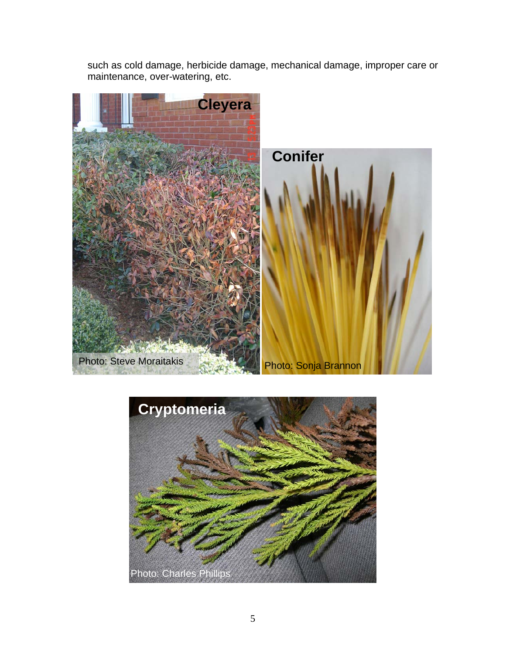such as cold damage, herbicide damage, mechanical damage, improper care or maintenance, over-watering, etc.



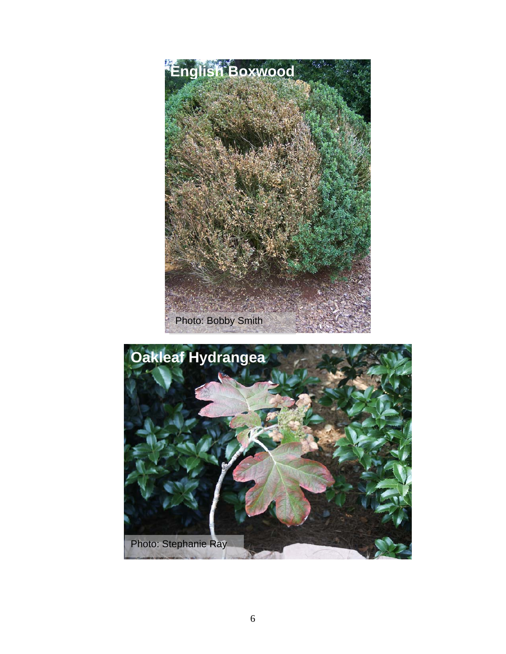

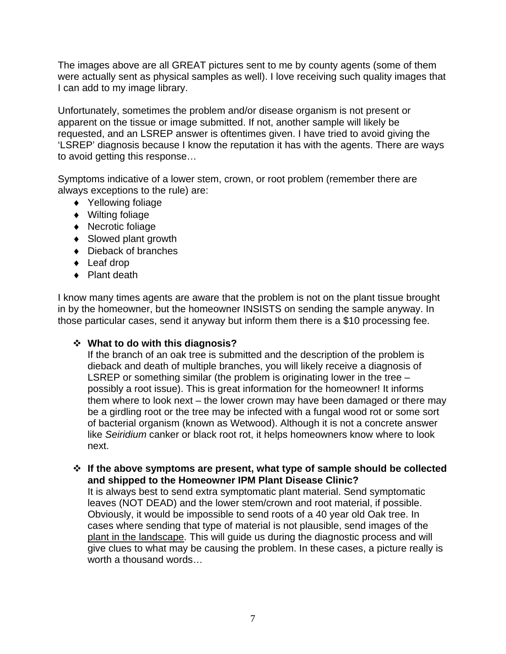The images above are all GREAT pictures sent to me by county agents (some of them were actually sent as physical samples as well). I love receiving such quality images that I can add to my image library.

Unfortunately, sometimes the problem and/or disease organism is not present or apparent on the tissue or image submitted. If not, another sample will likely be requested, and an LSREP answer is oftentimes given. I have tried to avoid giving the 'LSREP' diagnosis because I know the reputation it has with the agents. There are ways to avoid getting this response…

Symptoms indicative of a lower stem, crown, or root problem (remember there are always exceptions to the rule) are:

- ♦ Yellowing foliage
- ♦ Wilting foliage
- ♦ Necrotic foliage
- ♦ Slowed plant growth
- ♦ Dieback of branches
- ♦ Leaf drop
- ♦ Plant death

I know many times agents are aware that the problem is not on the plant tissue brought in by the homeowner, but the homeowner INSISTS on sending the sample anyway. In those particular cases, send it anyway but inform them there is a \$10 processing fee.

## **What to do with this diagnosis?**

If the branch of an oak tree is submitted and the description of the problem is dieback and death of multiple branches, you will likely receive a diagnosis of LSREP or something similar (the problem is originating lower in the tree – possibly a root issue). This is great information for the homeowner! It informs them where to look next – the lower crown may have been damaged or there may be a girdling root or the tree may be infected with a fungal wood rot or some sort of bacterial organism (known as Wetwood). Although it is not a concrete answer like *Seiridium* canker or black root rot, it helps homeowners know where to look next.

 **If the above symptoms are present, what type of sample should be collected and shipped to the Homeowner IPM Plant Disease Clinic?** 

It is always best to send extra symptomatic plant material. Send symptomatic leaves (NOT DEAD) and the lower stem/crown and root material, if possible. Obviously, it would be impossible to send roots of a 40 year old Oak tree. In cases where sending that type of material is not plausible, send images of the plant in the landscape. This will guide us during the diagnostic process and will give clues to what may be causing the problem. In these cases, a picture really is worth a thousand words…